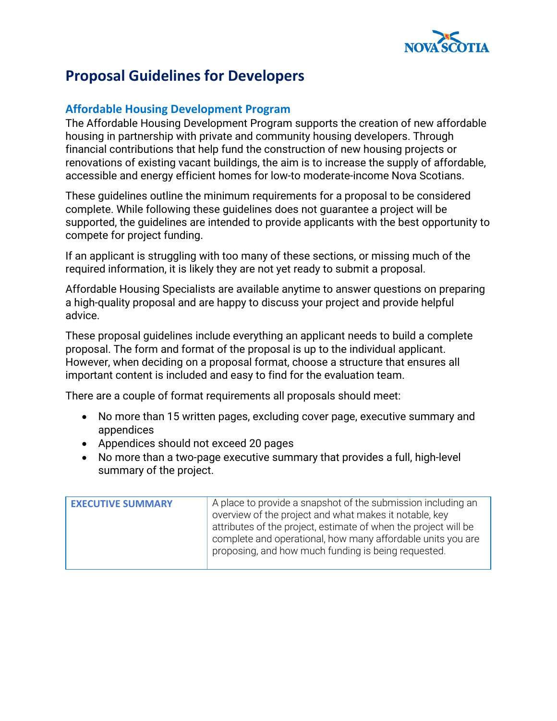

## **Proposal Guidelines for Developers**

## **Affordable Housing Development Program**

The Affordable Housing Development Program supports the creation of new affordable housing in partnership with private and community housing developers. Through financial contributions that help fund the construction of new housing projects or renovations of existing vacant buildings, the aim is to increase the supply of affordable, accessible and energy efficient homes for low-to moderate-income Nova Scotians.

These guidelines outline the minimum requirements for a proposal to be considered complete. While following these guidelines does not guarantee a project will be supported, the guidelines are intended to provide applicants with the best opportunity to compete for project funding.

If an applicant is struggling with too many of these sections, or missing much of the required information, it is likely they are not yet ready to submit a proposal.

Affordable Housing Specialists are available anytime to answer questions on preparing a high-quality proposal and are happy to discuss your project and provide helpful advice.

These proposal guidelines include everything an applicant needs to build a complete proposal. The form and format of the proposal is up to the individual applicant. However, when deciding on a proposal format, choose a structure that ensures all important content is included and easy to find for the evaluation team.

There are a couple of format requirements all proposals should meet:

- No more than 15 written pages, excluding cover page, executive summary and appendices
- Appendices should not exceed 20 pages
- No more than a two-page executive summary that provides a full, high-level summary of the project.

| <b>EXECUTIVE SUMMARY</b> | A place to provide a snapshot of the submission including an<br>overview of the project and what makes it notable, key<br>attributes of the project, estimate of when the project will be<br>complete and operational, how many affordable units you are |
|--------------------------|----------------------------------------------------------------------------------------------------------------------------------------------------------------------------------------------------------------------------------------------------------|
|                          | proposing, and how much funding is being requested.                                                                                                                                                                                                      |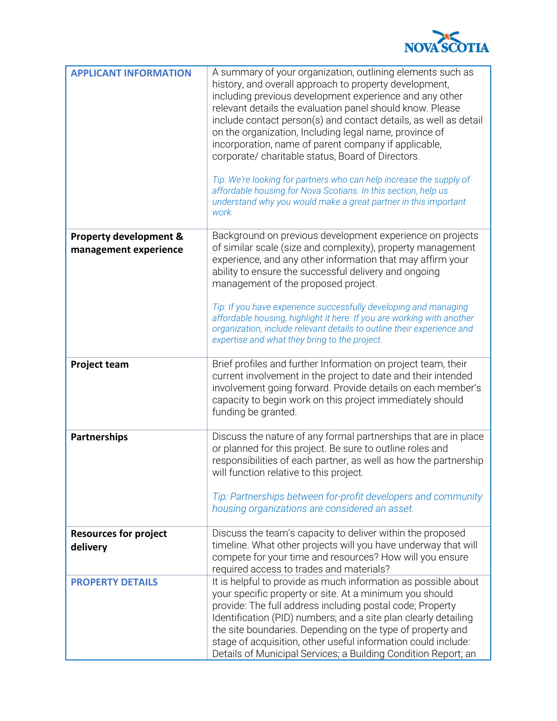

| <b>APPLICANT INFORMATION</b>                               | A summary of your organization, outlining elements such as<br>history, and overall approach to property development,<br>including previous development experience and any other<br>relevant details the evaluation panel should know. Please<br>include contact person(s) and contact details, as well as detail<br>on the organization, Including legal name, province of<br>incorporation, name of parent company if applicable,<br>corporate/ charitable status, Board of Directors.<br>Tip: We're looking for partners who can help increase the supply of<br>affordable housing for Nova Scotians. In this section, help us<br>understand why you would make a great partner in this important<br>work. |
|------------------------------------------------------------|--------------------------------------------------------------------------------------------------------------------------------------------------------------------------------------------------------------------------------------------------------------------------------------------------------------------------------------------------------------------------------------------------------------------------------------------------------------------------------------------------------------------------------------------------------------------------------------------------------------------------------------------------------------------------------------------------------------|
| <b>Property development &amp;</b><br>management experience | Background on previous development experience on projects<br>of similar scale (size and complexity), property management<br>experience, and any other information that may affirm your<br>ability to ensure the successful delivery and ongoing<br>management of the proposed project.<br>Tip: If you have experience successfully developing and managing<br>affordable housing, highlight it here. If you are working with another<br>organization, include relevant details to outline their experience and<br>expertise and what they bring to the project.                                                                                                                                              |
| <b>Project team</b>                                        | Brief profiles and further Information on project team, their<br>current involvement in the project to date and their intended<br>involvement going forward. Provide details on each member's<br>capacity to begin work on this project immediately should<br>funding be granted.                                                                                                                                                                                                                                                                                                                                                                                                                            |
| <b>Partnerships</b>                                        | Discuss the nature of any formal partnerships that are in place<br>or planned for this project. Be sure to outline roles and<br>responsibilities of each partner, as well as how the partnership<br>will function relative to this project.<br>Tip: Partnerships between for-profit developers and community<br>housing organizations are considered an asset.                                                                                                                                                                                                                                                                                                                                               |
| <b>Resources for project</b><br>delivery                   | Discuss the team's capacity to deliver within the proposed<br>timeline. What other projects will you have underway that will<br>compete for your time and resources? How will you ensure<br>required access to trades and materials?                                                                                                                                                                                                                                                                                                                                                                                                                                                                         |
| <b>PROPERTY DETAILS</b>                                    | It is helpful to provide as much information as possible about<br>your specific property or site. At a minimum you should<br>provide: The full address including postal code; Property<br>Identification (PID) numbers; and a site plan clearly detailing<br>the site boundaries. Depending on the type of property and<br>stage of acquisition, other useful information could include:<br>Details of Municipal Services; a Building Condition Report; an                                                                                                                                                                                                                                                   |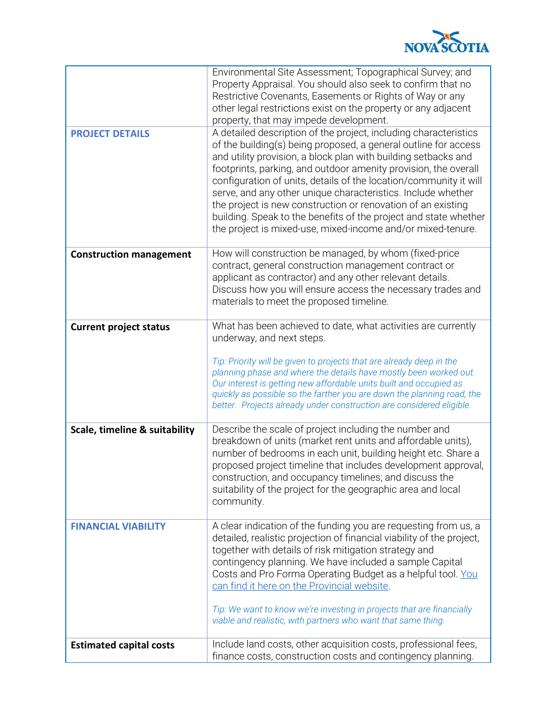

|                                | Environmental Site Assessment; Topographical Survey; and<br>Property Appraisal. You should also seek to confirm that no<br>Restrictive Covenants, Easements or Rights of Way or any<br>other legal restrictions exist on the property or any adjacent<br>property, that may impede development.                                                                                                                                                                                                                                                                                                                  |
|--------------------------------|------------------------------------------------------------------------------------------------------------------------------------------------------------------------------------------------------------------------------------------------------------------------------------------------------------------------------------------------------------------------------------------------------------------------------------------------------------------------------------------------------------------------------------------------------------------------------------------------------------------|
| <b>PROJECT DETAILS</b>         | A detailed description of the project, including characteristics<br>of the building(s) being proposed, a general outline for access<br>and utility provision, a block plan with building setbacks and<br>footprints, parking, and outdoor amenity provision, the overall<br>configuration of units, details of the location/community it will<br>serve, and any other unique characteristics. Include whether<br>the project is new construction or renovation of an existing<br>building. Speak to the benefits of the project and state whether<br>the project is mixed-use, mixed-income and/or mixed-tenure. |
| <b>Construction management</b> | How will construction be managed, by whom (fixed-price<br>contract, general construction management contract or<br>applicant as contractor) and any other relevant details.<br>Discuss how you will ensure access the necessary trades and<br>materials to meet the proposed timeline.                                                                                                                                                                                                                                                                                                                           |
| <b>Current project status</b>  | What has been achieved to date, what activities are currently<br>underway, and next steps.<br>Tip: Priority will be given to projects that are already deep in the<br>planning phase and where the details have mostly been worked out.<br>Our interest is getting new affordable units built and occupied as<br>quickly as possible so the farther you are down the planning road, the<br>better. Projects already under construction are considered eligible.                                                                                                                                                  |
| Scale, timeline & suitability  | Describe the scale of project including the number and<br>breakdown of units (market rent units and affordable units),<br>number of bedrooms in each unit, building height etc. Share a<br>proposed project timeline that includes development approval,<br>construction, and occupancy timelines; and discuss the<br>suitability of the project for the geographic area and local<br>community.                                                                                                                                                                                                                 |
| <b>FINANCIAL VIABILITY</b>     | A clear indication of the funding you are requesting from us, a<br>detailed, realistic projection of financial viability of the project,<br>together with details of risk mitigation strategy and<br>contingency planning. We have included a sample Capital<br>Costs and Pro Forma Operating Budget as a helpful tool. You<br>can find it here on the Provincial website.<br>Tip: We want to know we're investing in projects that are financially<br>viable and realistic, with partners who want that same thing.                                                                                             |
| <b>Estimated capital costs</b> | Include land costs, other acquisition costs, professional fees,<br>finance costs, construction costs and contingency planning.                                                                                                                                                                                                                                                                                                                                                                                                                                                                                   |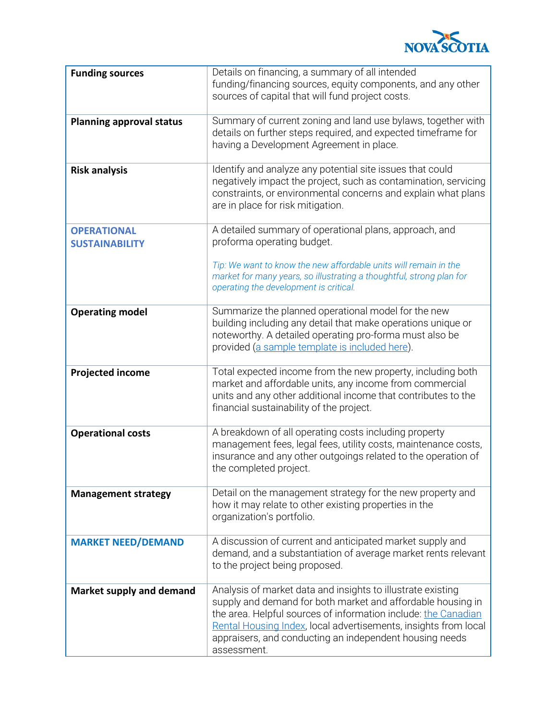

| <b>Funding sources</b>                      | Details on financing, a summary of all intended<br>funding/financing sources, equity components, and any other<br>sources of capital that will fund project costs.                                                                                                                                                                        |
|---------------------------------------------|-------------------------------------------------------------------------------------------------------------------------------------------------------------------------------------------------------------------------------------------------------------------------------------------------------------------------------------------|
| <b>Planning approval status</b>             | Summary of current zoning and land use bylaws, together with<br>details on further steps required, and expected timeframe for<br>having a Development Agreement in place.                                                                                                                                                                 |
| <b>Risk analysis</b>                        | Identify and analyze any potential site issues that could<br>negatively impact the project, such as contamination, servicing<br>constraints, or environmental concerns and explain what plans<br>are in place for risk mitigation.                                                                                                        |
| <b>OPERATIONAL</b><br><b>SUSTAINABILITY</b> | A detailed summary of operational plans, approach, and<br>proforma operating budget.                                                                                                                                                                                                                                                      |
|                                             | Tip: We want to know the new affordable units will remain in the<br>market for many years, so illustrating a thoughtful, strong plan for<br>operating the development is critical.                                                                                                                                                        |
| <b>Operating model</b>                      | Summarize the planned operational model for the new<br>building including any detail that make operations unique or<br>noteworthy. A detailed operating pro-forma must also be<br>provided (a sample template is included here).                                                                                                          |
| <b>Projected income</b>                     | Total expected income from the new property, including both<br>market and affordable units, any income from commercial<br>units and any other additional income that contributes to the<br>financial sustainability of the project.                                                                                                       |
| <b>Operational costs</b>                    | A breakdown of all operating costs including property<br>management fees, legal fees, utility costs, maintenance costs,<br>insurance and any other outgoings related to the operation of<br>the completed project.                                                                                                                        |
| <b>Management strategy</b>                  | Detail on the management strategy for the new property and<br>how it may relate to other existing properties in the<br>organization's portfolio.                                                                                                                                                                                          |
| <b>MARKET NEED/DEMAND</b>                   | A discussion of current and anticipated market supply and<br>demand, and a substantiation of average market rents relevant<br>to the project being proposed.                                                                                                                                                                              |
| <b>Market supply and demand</b>             | Analysis of market data and insights to illustrate existing<br>supply and demand for both market and affordable housing in<br>the area. Helpful sources of information include: the Canadian<br>Rental Housing Index, local advertisements, insights from local<br>appraisers, and conducting an independent housing needs<br>assessment. |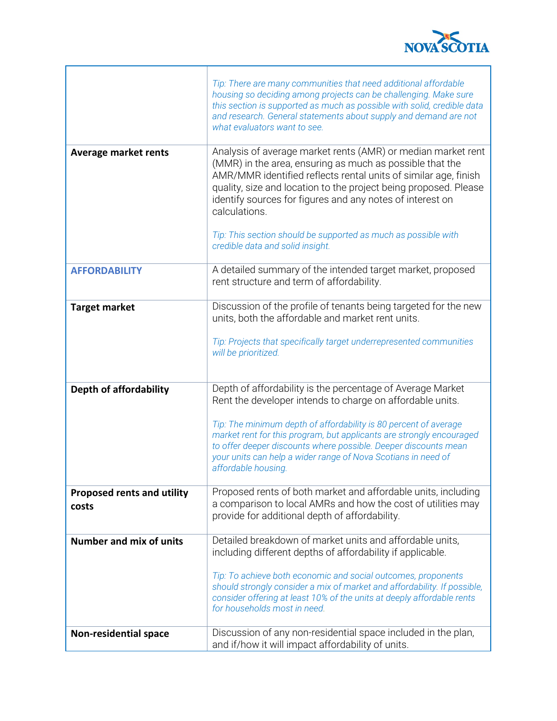

٦

|                                            | Tip: There are many communities that need additional affordable<br>housing so deciding among projects can be challenging. Make sure<br>this section is supported as much as possible with solid, credible data<br>and research. General statements about supply and demand are not<br>what evaluators want to see.                                                                                                                                  |
|--------------------------------------------|-----------------------------------------------------------------------------------------------------------------------------------------------------------------------------------------------------------------------------------------------------------------------------------------------------------------------------------------------------------------------------------------------------------------------------------------------------|
| <b>Average market rents</b>                | Analysis of average market rents (AMR) or median market rent<br>(MMR) in the area, ensuring as much as possible that the<br>AMR/MMR identified reflects rental units of similar age, finish<br>quality, size and location to the project being proposed. Please<br>identify sources for figures and any notes of interest on<br>calculations.<br>Tip: This section should be supported as much as possible with<br>credible data and solid insight. |
| <b>AFFORDABILITY</b>                       | A detailed summary of the intended target market, proposed                                                                                                                                                                                                                                                                                                                                                                                          |
|                                            | rent structure and term of affordability.                                                                                                                                                                                                                                                                                                                                                                                                           |
| <b>Target market</b>                       | Discussion of the profile of tenants being targeted for the new<br>units, both the affordable and market rent units.<br>Tip: Projects that specifically target underrepresented communities<br>will be prioritized.                                                                                                                                                                                                                                 |
| <b>Depth of affordability</b>              | Depth of affordability is the percentage of Average Market<br>Rent the developer intends to charge on affordable units.<br>Tip: The minimum depth of affordability is 80 percent of average<br>market rent for this program, but applicants are strongly encouraged<br>to offer deeper discounts where possible. Deeper discounts mean<br>your units can help a wider range of Nova Scotians in need of<br>affordable housing.                      |
| <b>Proposed rents and utility</b><br>costs | Proposed rents of both market and affordable units, including<br>a comparison to local AMRs and how the cost of utilities may<br>provide for additional depth of affordability.                                                                                                                                                                                                                                                                     |
| <b>Number and mix of units</b>             | Detailed breakdown of market units and affordable units,<br>including different depths of affordability if applicable.<br>Tip: To achieve both economic and social outcomes, proponents<br>should strongly consider a mix of market and affordability. If possible,<br>consider offering at least 10% of the units at deeply affordable rents<br>for households most in need.                                                                       |
| <b>Non-residential space</b>               | Discussion of any non-residential space included in the plan,<br>and if/how it will impact affordability of units.                                                                                                                                                                                                                                                                                                                                  |

 $\mathsf{r}$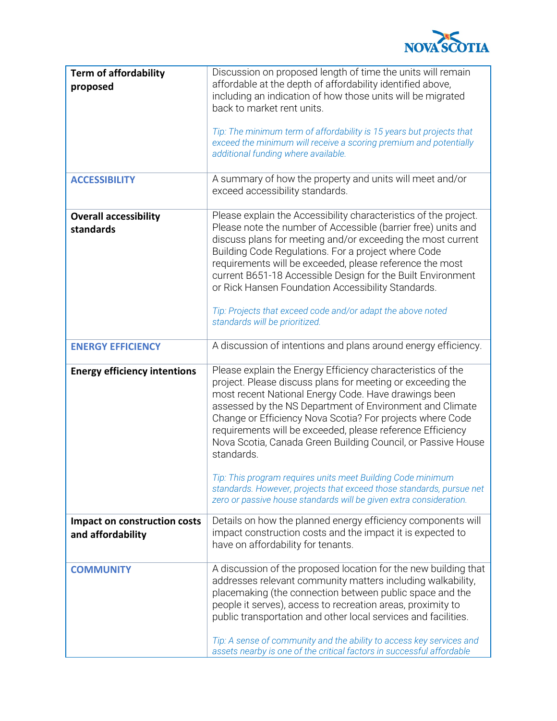

| <b>Term of affordability</b><br>proposed          | Discussion on proposed length of time the units will remain<br>affordable at the depth of affordability identified above,<br>including an indication of how those units will be migrated<br>back to market rent units.<br>Tip: The minimum term of affordability is 15 years but projects that<br>exceed the minimum will receive a scoring premium and potentially<br>additional funding where available.                                                                                                                                                                                                                                                          |
|---------------------------------------------------|---------------------------------------------------------------------------------------------------------------------------------------------------------------------------------------------------------------------------------------------------------------------------------------------------------------------------------------------------------------------------------------------------------------------------------------------------------------------------------------------------------------------------------------------------------------------------------------------------------------------------------------------------------------------|
| <b>ACCESSIBILITY</b>                              | A summary of how the property and units will meet and/or<br>exceed accessibility standards.                                                                                                                                                                                                                                                                                                                                                                                                                                                                                                                                                                         |
| <b>Overall accessibility</b><br>standards         | Please explain the Accessibility characteristics of the project.<br>Please note the number of Accessible (barrier free) units and<br>discuss plans for meeting and/or exceeding the most current<br>Building Code Regulations. For a project where Code<br>requirements will be exceeded, please reference the most<br>current B651-18 Accessible Design for the Built Environment<br>or Rick Hansen Foundation Accessibility Standards.<br>Tip: Projects that exceed code and/or adapt the above noted<br>standards will be prioritized.                                                                                                                           |
| <b>ENERGY EFFICIENCY</b>                          | A discussion of intentions and plans around energy efficiency.                                                                                                                                                                                                                                                                                                                                                                                                                                                                                                                                                                                                      |
| <b>Energy efficiency intentions</b>               | Please explain the Energy Efficiency characteristics of the<br>project. Please discuss plans for meeting or exceeding the<br>most recent National Energy Code. Have drawings been<br>assessed by the NS Department of Environment and Climate<br>Change or Efficiency Nova Scotia? For projects where Code<br>requirements will be exceeded, please reference Efficiency<br>Nova Scotia, Canada Green Building Council, or Passive House<br>standards.<br>Tip: This program requires units meet Building Code minimum<br>standards. However, projects that exceed those standards, pursue net<br>zero or passive house standards will be given extra consideration. |
| Impact on construction costs<br>and affordability | Details on how the planned energy efficiency components will<br>impact construction costs and the impact it is expected to<br>have on affordability for tenants.                                                                                                                                                                                                                                                                                                                                                                                                                                                                                                    |
| <b>COMMUNITY</b>                                  | A discussion of the proposed location for the new building that<br>addresses relevant community matters including walkability,<br>placemaking (the connection between public space and the<br>people it serves), access to recreation areas, proximity to<br>public transportation and other local services and facilities.<br>Tip: A sense of community and the ability to access key services and<br>assets nearby is one of the critical factors in successful affordable                                                                                                                                                                                        |